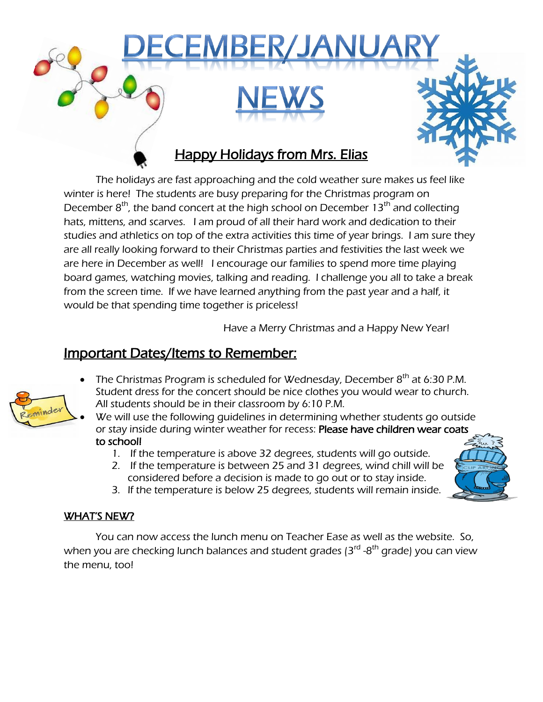

The holidays are fast approaching and the cold weather sure makes us feel like winter is here! The students are busy preparing for the Christmas program on December  $8<sup>th</sup>$ , the band concert at the high school on December 13<sup>th</sup> and collecting hats, mittens, and scarves. I am proud of all their hard work and dedication to their studies and athletics on top of the extra activities this time of year brings. I am sure they are all really looking forward to their Christmas parties and festivities the last week we are here in December as well! I encourage our families to spend more time playing board games, watching movies, talking and reading. I challenge you all to take a break from the screen time. If we have learned anything from the past year and a half, it would be that spending time together is priceless!

Have a Merry Christmas and a Happy New Year!

# Important Dates/Items to Remember:

- inde
- The Christmas Program is scheduled for Wednesday, December  $8<sup>th</sup>$  at 6:30 P.M. Student dress for the concert should be nice clothes you would wear to church. All students should be in their classroom by 6:10 P.M.
- We will use the following guidelines in determining whether students go outside or stay inside during winter weather for recess: Please have children wear coats to school!
	- 1. If the temperature is above 32 degrees, students will go outside.
	- 2. If the temperature is between 25 and 31 degrees, wind chill will be considered before a decision is made to go out or to stay inside.
- 
- 3. If the temperature is below 25 degrees, students will remain inside.

#### WHAT'S NEW?

You can now access the lunch menu on Teacher Ease as well as the website. So, when you are checking lunch balances and student grades (3<sup>rd</sup> -8<sup>th</sup> grade) you can view the menu, too!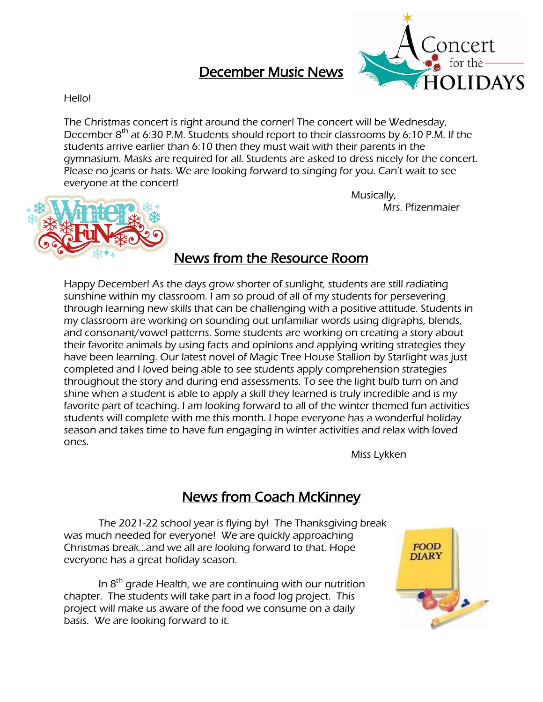# December Music News



#### Hello!

The Christmas concert is right around the corner! The concert will be Wednesday, December  $8<sup>th</sup>$  at 6:30 P.M. Students should report to their classrooms by 6:10 P.M. If the students arrive earlier than 6:10 then they must wait with their parents in the gymnasium. Masks are required for all. Students are asked to dress nicely for the concert. Please no jeans or hats. We are looking forward to singing for you. Can't wait to see everyone at the concert!

Musically, Mrs. Pfizenmaier



### News from the Resource Room

Happy December! As the days grow shorter of sunlight, students are still radiating sunshine within my classroom. I am so proud of all of my students for persevering through learning new skills that can be challenging with a positive attitude. Students in my classroom are working on sounding out unfamiliar words using digraphs, blends, and consonant/vowel patterns. Some students are working on creating a story about their favorite animals by using facts and opinions and applying writing strategies they have been learning. Our latest novel of Magic Tree House Stallion by Starlight was just completed and I loved being able to see students apply comprehension strategies throughout the story and during end assessments. To see the light bulb turn on and shine when a student is able to apply a skill they learned is truly incredible and is my favorite part of teaching. I am looking forward to all of the winter themed fun activities students will complete with me this month. I hope everyone has a wonderful holiday season and takes time to have fun engaging in winter activities and relax with loved ones.

Miss Lykken

### News from Coach McKinney

 The 2021-22 school year is flying by! The Thanksgiving break was much needed for everyone! We are quickly approaching Christmas break...and we all are looking forward to that. Hope everyone has a great holiday season.

In  $8<sup>th</sup>$  grade Health, we are continuing with our nutrition chapter. The students will take part in a food log project. This project will make us aware of the food we consume on a daily basis. We are looking forward to it.

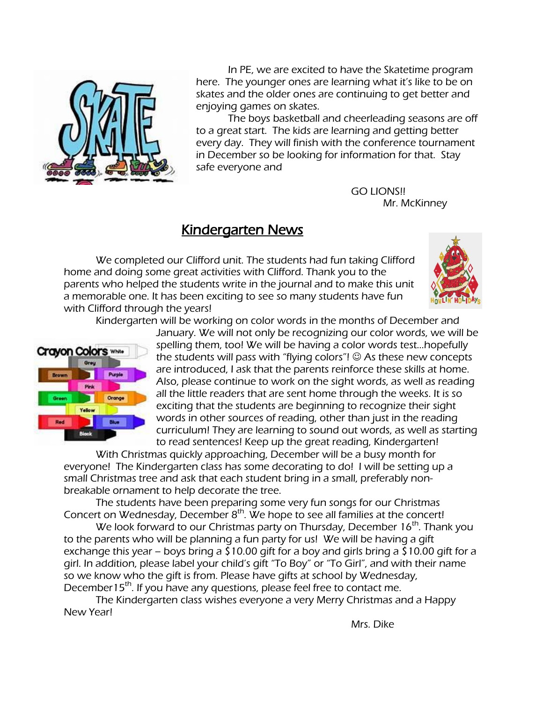

 In PE, we are excited to have the Skatetime program here. The younger ones are learning what it's like to be on skates and the older ones are continuing to get better and enjoying games on skates.

 The boys basketball and cheerleading seasons are off to a great start. The kids are learning and getting better every day. They will finish with the conference tournament in December so be looking for information for that. Stay safe everyone and

> GO LIONS!! Mr. McKinney

### Kindergarten News

We completed our Clifford unit. The students had fun taking Clifford home and doing some great activities with Clifford. Thank you to the parents who helped the students write in the journal and to make this unit a memorable one. It has been exciting to see so many students have fun with Clifford through the years!



Kindergarten will be working on color words in the months of December and



January. We will not only be recognizing our color words, we will be spelling them, too! We will be having a color words test…hopefully the students will pass with "flying colors"!  $\odot$  As these new concepts are introduced, I ask that the parents reinforce these skills at home. Also, please continue to work on the sight words, as well as reading all the little readers that are sent home through the weeks. It is so exciting that the students are beginning to recognize their sight words in other sources of reading, other than just in the reading curriculum! They are learning to sound out words, as well as starting to read sentences! Keep up the great reading, Kindergarten!

With Christmas quickly approaching, December will be a busy month for everyone! The Kindergarten class has some decorating to do! I will be setting up a small Christmas tree and ask that each student bring in a small, preferably nonbreakable ornament to help decorate the tree.

The students have been preparing some very fun songs for our Christmas Concert on Wednesday, December  $8<sup>th</sup>$ . We hope to see all families at the concert!

We look forward to our Christmas party on Thursday, December  $16<sup>th</sup>$ . Thank you to the parents who will be planning a fun party for us! We will be having a gift exchange this year – boys bring a  $\overline{\xi}$  10.00 gift for a boy and girls bring a  $\overline{\xi}$  10.00 gift for a girl. In addition, please label your child's gift "To Boy" or "To Girl", and with their name so we know who the gift is from. Please have gifts at school by Wednesday, December15<sup>th</sup>. If you have any questions, please feel free to contact me.

The Kindergarten class wishes everyone a very Merry Christmas and a Happy New Year!

Mrs. Dike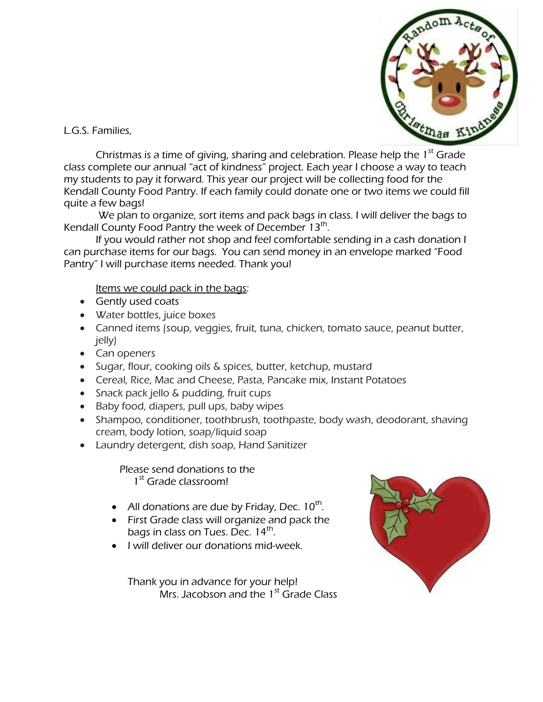

L.G.S. Families,

Christmas is a time of giving, sharing and celebration. Please help the  $1<sup>st</sup>$  Grade class complete our annual "act of kindness" project. Each year I choose a way to teach my students to pay it forward. This year our project will be collecting food for the Kendall County Food Pantry. If each family could donate one or two items we could fill quite a few bags!

We plan to organize, sort items and pack bags in class. I will deliver the bags to Kendall County Food Pantry the week of December 13<sup>th</sup>.

If you would rather not shop and feel comfortable sending in a cash donation I can purchase items for our bags. You can send money in an envelope marked "Food Pantry" I will purchase items needed. Thank you!

Items we could pack in the bags:

- Gently used coats
- Water bottles, juice boxes
- Canned items (soup, veggies, fruit, tuna, chicken, tomato sauce, peanut butter, jelly)
- Can openers
- Sugar, flour, cooking oils & spices, butter, ketchup, mustard
- Cereal, Rice, Mac and Cheese, Pasta, Pancake mix, Instant Potatoes
- Snack pack jello & pudding, fruit cups
- Baby food, diapers, pull ups, baby wipes
- Shampoo, conditioner, toothbrush, toothpaste, body wash, deodorant, shaving cream, body lotion, soap/liquid soap
- Laundry detergent, dish soap, Hand Sanitizer

 Please send donations to the 1<sup>st</sup> Grade classroom!

- All donations are due by Friday, Dec.  $10^{th}$ .
- First Grade class will organize and pack the bags in class on Tues. Dec. 14<sup>th</sup>.
- I will deliver our donations mid-week.

Thank you in advance for your help! Mrs. Jacobson and the  $1<sup>st</sup>$  Grade Class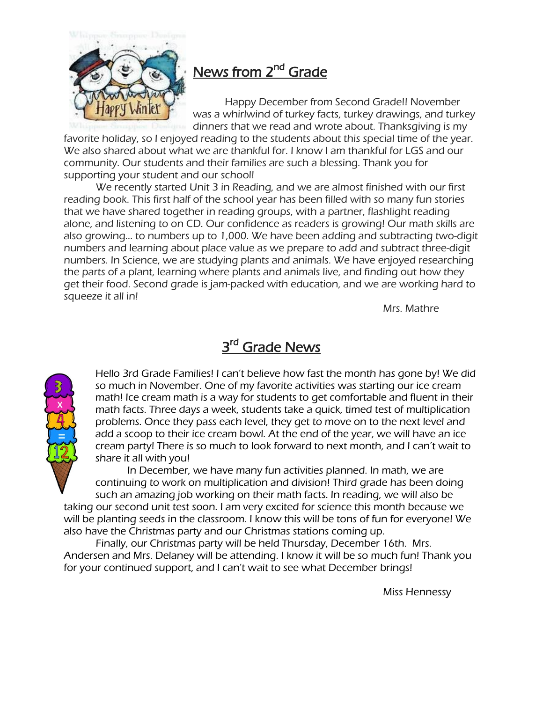

# News from 2<sup>nd</sup> Grade

Happy December from Second Grade!! November was a whirlwind of turkey facts, turkey drawings, and turkey dinners that we read and wrote about. Thanksgiving is my

favorite holiday, so I enjoyed reading to the students about this special time of the year. We also shared about what we are thankful for. I know I am thankful for LGS and our community. Our students and their families are such a blessing. Thank you for supporting your student and our school!

We recently started Unit 3 in Reading, and we are almost finished with our first reading book. This first half of the school year has been filled with so many fun stories that we have shared together in reading groups, with a partner, flashlight reading alone, and listening to on CD. Our confidence as readers is growing! Our math skills are also growing... to numbers up to 1,000. We have been adding and subtracting two-digit numbers and learning about place value as we prepare to add and subtract three-digit numbers. In Science, we are studying plants and animals. We have enjoyed researching the parts of a plant, learning where plants and animals live, and finding out how they get their food. Second grade is jam-packed with education, and we are working hard to squeeze it all in!

Mrs. Mathre

# 3<sup>rd</sup> Grade News



Hello 3rd Grade Families! I can't believe how fast the month has gone by! We did so much in November. One of my favorite activities was starting our ice cream math! Ice cream math is a way for students to get comfortable and fluent in their math facts. Three days a week, students take a quick, timed test of multiplication problems. Once they pass each level, they get to move on to the next level and add a scoop to their ice cream bowl. At the end of the year, we will have an ice cream party! There is so much to look forward to next month, and I can't wait to share it all with you!

In December, we have many fun activities planned. In math, we are continuing to work on multiplication and division! Third grade has been doing such an amazing job working on their math facts. In reading, we will also be

taking our second unit test soon. I am very excited for science this month because we will be planting seeds in the classroom. I know this will be tons of fun for everyone! We also have the Christmas party and our Christmas stations coming up.

Finally, our Christmas party will be held Thursday, December 16th. Mrs. Andersen and Mrs. Delaney will be attending. I know it will be so much fun! Thank you for your continued support, and I can't wait to see what December brings!

Miss Hennessy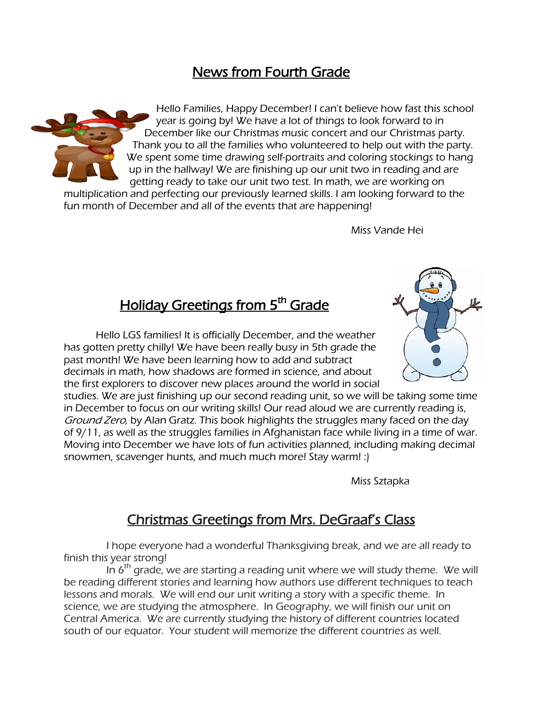# News from Fourth Grade



Hello Families, Happy December! I can't believe how fast this school year is going by! We have a lot of things to look forward to in December like our Christmas music concert and our Christmas party. Thank you to all the families who volunteered to help out with the party. We spent some time drawing self-portraits and coloring stockings to hang up in the hallway! We are finishing up our unit two in reading and are getting ready to take our unit two test. In math, we are working on

multiplication and perfecting our previously learned skills. I am looking forward to the fun month of December and all of the events that are happening!

Miss Vande Hei

# <u>Holiday Greetings from 5<sup>th</sup> Grade</u>

Hello LGS families! It is officially December, and the weather has gotten pretty chilly! We have been really busy in 5th grade the past month! We have been learning how to add and subtract decimals in math, how shadows are formed in science, and about the first explorers to discover new places around the world in social



studies. We are just finishing up our second reading unit, so we will be taking some time in December to focus on our writing skills! Our read aloud we are currently reading is, Ground Zero, by Alan Gratz. This book highlights the struggles many faced on the day of 9/11, as well as the struggles families in Afghanistan face while living in a time of war. Moving into December we have lots of fun activities planned, including making decimal snowmen, scavenger hunts, and much much more! Stay warm! :)

Miss Sztapka

### Christmas Greetings from Mrs. DeGraaf's Class

 I hope everyone had a wonderful Thanksgiving break, and we are all ready to finish this year strong!

In  $6<sup>th</sup>$  grade, we are starting a reading unit where we will study theme. We will be reading different stories and learning how authors use different techniques to teach lessons and morals. We will end our unit writing a story with a specific theme. In science, we are studying the atmosphere. In Geography, we will finish our unit on Central America. We are currently studying the history of different countries located south of our equator. Your student will memorize the different countries as well.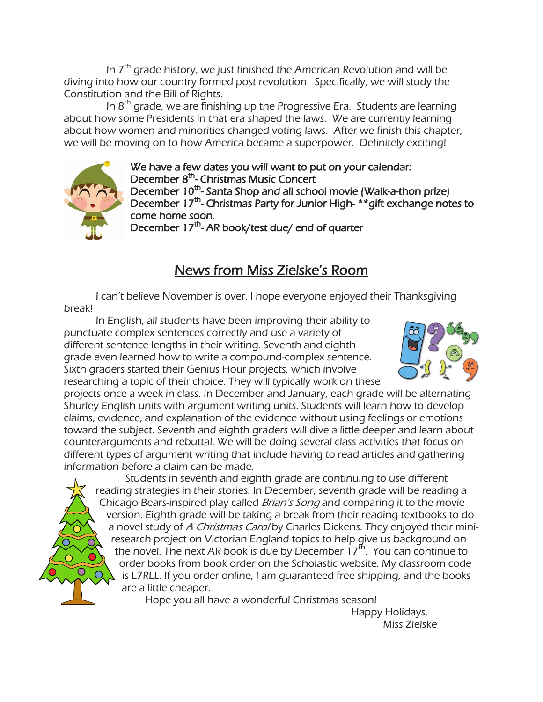In  $7<sup>th</sup>$  grade history, we just finished the American Revolution and will be diving into how our country formed post revolution. Specifically, we will study the Constitution and the Bill of Rights.

In  $8<sup>th</sup>$  grade, we are finishing up the Progressive Era. Students are learning about how some Presidents in that era shaped the laws. We are currently learning about how women and minorities changed voting laws. After we finish this chapter, we will be moving on to how America became a superpower. Definitely exciting!



We have a few dates you will want to put on your calendar: December 8<sup>th</sup>- Christmas Music Concert December 10<sup>th</sup>- Santa Shop and all school movie (Walk-a-thon prize) December 17<sup>th</sup>- Christmas Party for Junior High- \*\* gift exchange notes to come home soon.

December 17<sup>th</sup>- AR book/test due/ end of quarter

# News from Miss Zielske's Room

I can't believe November is over. I hope everyone enjoyed their Thanksgiving break!

 In English, all students have been improving their ability to punctuate complex sentences correctly and use a variety of different sentence lengths in their writing. Seventh and eighth grade even learned how to write a compound-complex sentence. Sixth graders started their Genius Hour projects, which involve researching a topic of their choice. They will typically work on these



projects once a week in class. In December and January, each grade will be alternating Shurley English units with argument writing units. Students will learn how to develop claims, evidence, and explanation of the evidence without using feelings or emotions toward the subject. Seventh and eighth graders will dive a little deeper and learn about counterarguments and rebuttal. We will be doing several class activities that focus on different types of argument writing that include having to read articles and gathering information before a claim can be made.

 Students in seventh and eighth grade are continuing to use different reading strategies in their stories. In December, seventh grade will be reading a Chicago Bears-inspired play called *Brian's Song* and comparing it to the movie version. Eighth grade will be taking a break from their reading textbooks to do a novel study of A Christmas Carol by Charles Dickens. They enjoyed their miniresearch project on Victorian England topics to help give us background on the novel. The next AR book is due by December 17<sup>th</sup>. You can continue to order books from book order on the Scholastic website. My classroom code is L7RLL. If you order online, I am guaranteed free shipping, and the books are a little cheaper.

Hope you all have a wonderful Christmas season!

Happy Holidays, Miss Zielske